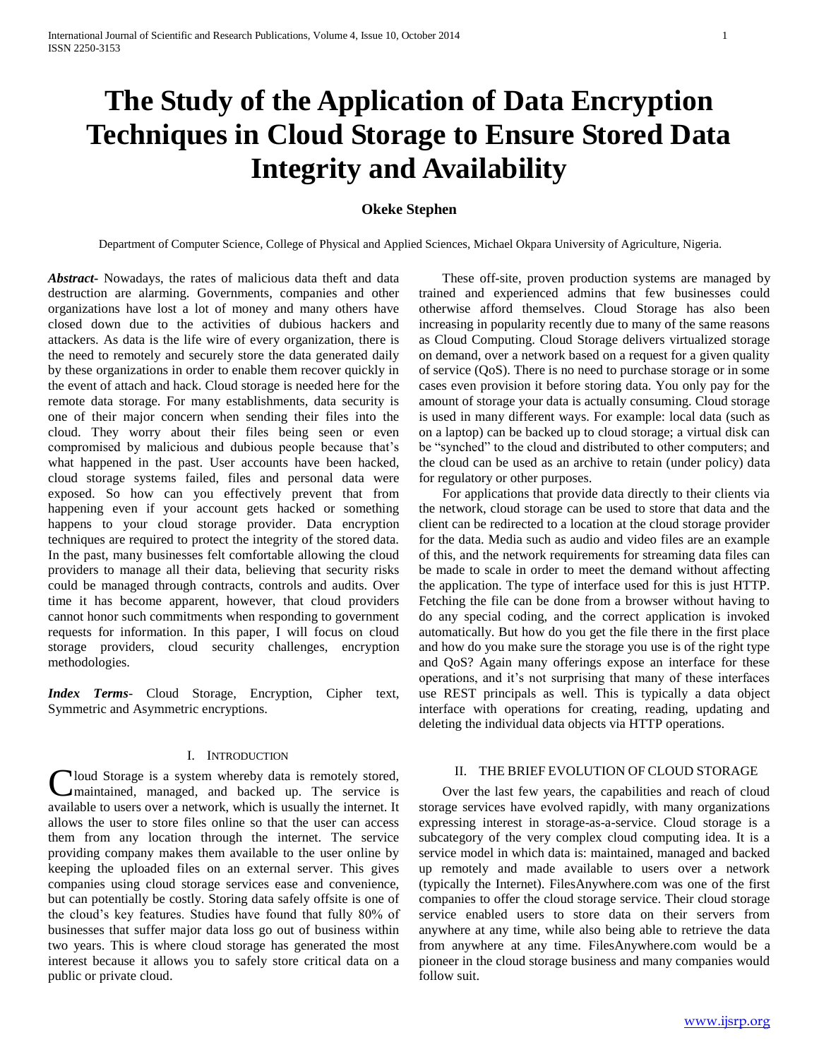# **The Study of the Application of Data Encryption Techniques in Cloud Storage to Ensure Stored Data Integrity and Availability**

# **Okeke Stephen**

Department of Computer Science, College of Physical and Applied Sciences, Michael Okpara University of Agriculture, Nigeria.

*Abstract***-** Nowadays, the rates of malicious data theft and data destruction are alarming. Governments, companies and other organizations have lost a lot of money and many others have closed down due to the activities of dubious hackers and attackers. As data is the life wire of every organization, there is the need to remotely and securely store the data generated daily by these organizations in order to enable them recover quickly in the event of attach and hack. Cloud storage is needed here for the remote data storage. For many establishments, data security is one of their major concern when sending their files into the cloud. They worry about their files being seen or even compromised by malicious and dubious people because that's what happened in the past. User accounts have been hacked, cloud storage systems failed, files and personal data were exposed. So how can you effectively prevent that from happening even if your account gets hacked or something happens to your cloud storage provider. Data encryption techniques are required to protect the integrity of the stored data. In the past, many businesses felt comfortable allowing the cloud providers to manage all their data, believing that security risks could be managed through contracts, controls and audits. Over time it has become apparent, however, that cloud providers cannot honor such commitments when responding to government requests for information. In this paper, I will focus on cloud storage providers, cloud security challenges, encryption methodologies.

*Index Terms*- Cloud Storage, Encryption, Cipher text, Symmetric and Asymmetric encryptions.

## I. INTRODUCTION

loud Storage is a system whereby data is remotely stored, Cloud Storage is a system whereby data is remotely stored,<br>
maintained, managed, and backed up. The service is available to users over a network, which is usually the internet. It allows the user to store files online so that the user can access them from any location through the internet. The service providing company makes them available to the user online by keeping the uploaded files on an external server. This gives companies using cloud storage services ease and convenience, but can potentially be costly. Storing data safely offsite is one of the cloud's key features. Studies have found that fully 80% of businesses that suffer major data loss go out of business within two years. This is where cloud storage has generated the most interest because it allows you to safely store critical data on a public or private cloud.

 These off-site, proven production systems are managed by trained and experienced admins that few businesses could otherwise afford themselves. Cloud Storage has also been increasing in popularity recently due to many of the same reasons as Cloud Computing. Cloud Storage delivers virtualized storage on demand, over a network based on a request for a given quality of service (QoS). There is no need to purchase storage or in some cases even provision it before storing data. You only pay for the amount of storage your data is actually consuming. Cloud storage is used in many different ways. For example: local data (such as on a laptop) can be backed up to cloud storage; a virtual disk can be "synched" to the cloud and distributed to other computers; and the cloud can be used as an archive to retain (under policy) data for regulatory or other purposes.

 For applications that provide data directly to their clients via the network, cloud storage can be used to store that data and the client can be redirected to a location at the cloud storage provider for the data. Media such as audio and video files are an example of this, and the network requirements for streaming data files can be made to scale in order to meet the demand without affecting the application. The type of interface used for this is just HTTP. Fetching the file can be done from a browser without having to do any special coding, and the correct application is invoked automatically. But how do you get the file there in the first place and how do you make sure the storage you use is of the right type and QoS? Again many offerings expose an interface for these operations, and it's not surprising that many of these interfaces use REST principals as well. This is typically a data object interface with operations for creating, reading, updating and deleting the individual data objects via HTTP operations.

# II. THE BRIEF EVOLUTION OF CLOUD STORAGE

 Over the last few years, the capabilities and reach of cloud storage services have evolved rapidly, with many organizations expressing interest in storage-as-a-service. Cloud storage is a subcategory of the very complex cloud computing idea. It is a service model in which data is: maintained, managed and backed up remotely and made available to users over a network (typically the Internet). FilesAnywhere.com was one of the first companies to offer the cloud storage service. Their cloud storage service enabled users to store data on their servers from anywhere at any time, while also being able to retrieve the data from anywhere at any time. FilesAnywhere.com would be a pioneer in the cloud storage business and many companies would follow suit.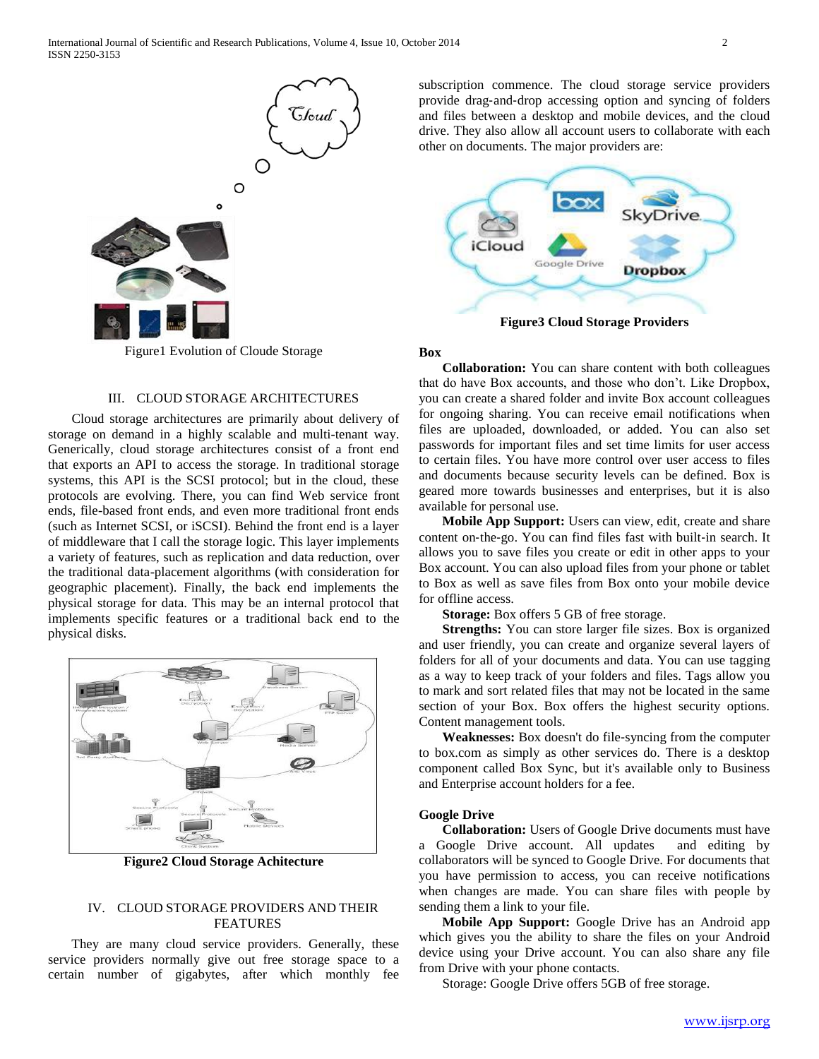

Figure1 Evolution of Cloude Storage

# III. CLOUD STORAGE ARCHITECTURES

 Cloud storage architectures are primarily about delivery of storage on demand in a highly scalable and multi-tenant way. Generically, cloud storage architectures consist of a front end that exports an API to access the storage. In traditional storage systems, this API is the SCSI protocol; but in the cloud, these protocols are evolving. There, you can find Web service front ends, file-based front ends, and even more traditional front ends (such as Internet SCSI, or iSCSI). Behind the front end is a layer of middleware that I call the storage logic. This layer implements a variety of features, such as replication and data reduction, over the traditional data-placement algorithms (with consideration for geographic placement). Finally, the back end implements the physical storage for data. This may be an internal protocol that implements specific features or a traditional back end to the physical disks.



**Figure2 Cloud Storage Achitecture**

# IV. CLOUD STORAGE PROVIDERS AND THEIR FEATURES

 They are many cloud service providers. Generally, these service providers normally give out free storage space to a certain number of gigabytes, after which monthly fee

subscription commence. The cloud storage service providers provide drag‐and‐drop accessing option and syncing of folders and files between a desktop and mobile devices, and the cloud drive. They also allow all account users to collaborate with each other on documents. The major providers are:



**Figure3 Cloud Storage Providers**

#### **Box**

 **Collaboration:** You can share content with both colleagues that do have Box accounts, and those who don't. Like Dropbox, you can create a shared folder and invite Box account colleagues for ongoing sharing. You can receive email notifications when files are uploaded, downloaded, or added. You can also set passwords for important files and set time limits for user access to certain files. You have more control over user access to files and documents because security levels can be defined. Box is geared more towards businesses and enterprises, but it is also available for personal use.

 **Mobile App Support:** Users can view, edit, create and share content on‐the‐go. You can find files fast with built‐in search. It allows you to save files you create or edit in other apps to your Box account. You can also upload files from your phone or tablet to Box as well as save files from Box onto your mobile device for offline access.

**Storage:** Box offers 5 GB of free storage.

 **Strengths:** You can store larger file sizes. Box is organized and user friendly, you can create and organize several layers of folders for all of your documents and data. You can use tagging as a way to keep track of your folders and files. Tags allow you to mark and sort related files that may not be located in the same section of your Box. Box offers the highest security options. Content management tools.

 **Weaknesses:** Box doesn't do file‐syncing from the computer to box.com as simply as other services do. There is a desktop component called Box Sync, but it's available only to Business and Enterprise account holders for a fee.

#### **Google Drive**

 **Collaboration:** Users of Google Drive documents must have a Google Drive account. All updates and editing by collaborators will be synced to Google Drive. For documents that you have permission to access, you can receive notifications when changes are made. You can share files with people by sending them a link to your file.

 **Mobile App Support:** Google Drive has an Android app which gives you the ability to share the files on your Android device using your Drive account. You can also share any file from Drive with your phone contacts.

Storage: Google Drive offers 5GB of free storage.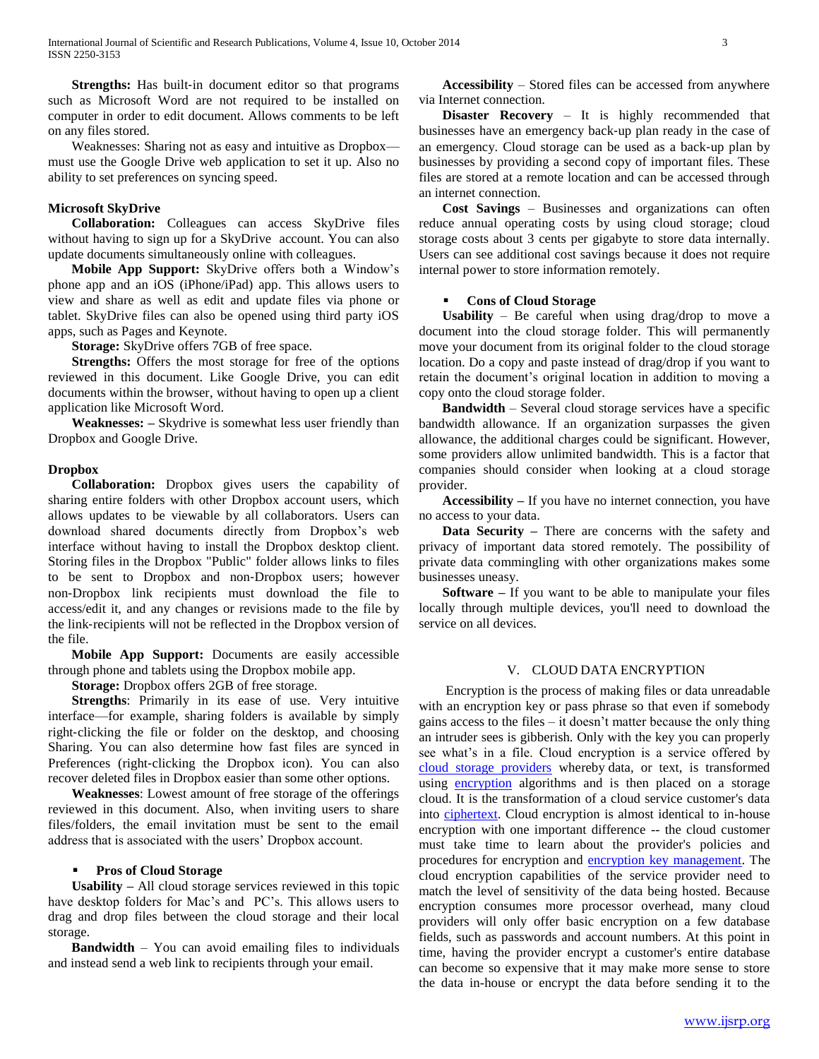**Strengths:** Has built-in document editor so that programs such as Microsoft Word are not required to be installed on computer in order to edit document. Allows comments to be left on any files stored.

 Weaknesses: Sharing not as easy and intuitive as Dropbox must use the Google Drive web application to set it up. Also no ability to set preferences on syncing speed.

## **Microsoft SkyDrive**

 **Collaboration:** Colleagues can access SkyDrive files without having to sign up for a SkyDrive account. You can also update documents simultaneously online with colleagues.

 **Mobile App Support:** SkyDrive offers both a Window's phone app and an iOS (iPhone/iPad) app. This allows users to view and share as well as edit and update files via phone or tablet. SkyDrive files can also be opened using third party iOS apps, such as Pages and Keynote.

**Storage:** SkyDrive offers 7GB of free space.

 **Strengths:** Offers the most storage for free of the options reviewed in this document. Like Google Drive, you can edit documents within the browser, without having to open up a client application like Microsoft Word.

 **Weaknesses: –** Skydrive is somewhat less user friendly than Dropbox and Google Drive.

## **Dropbox**

 **Collaboration:** Dropbox gives users the capability of sharing entire folders with other Dropbox account users, which allows updates to be viewable by all collaborators. Users can download shared documents directly from Dropbox's web interface without having to install the Dropbox desktop client. Storing files in the Dropbox "Public" folder allows links to files to be sent to Dropbox and non‐Dropbox users; however non‐Dropbox link recipients must download the file to access/edit it, and any changes or revisions made to the file by the link‐recipients will not be reflected in the Dropbox version of the file.

 **Mobile App Support:** Documents are easily accessible through phone and tablets using the Dropbox mobile app.

**Storage:** Dropbox offers 2GB of free storage.

 **Strengths**: Primarily in its ease of use. Very intuitive interface—for example, sharing folders is available by simply right‐clicking the file or folder on the desktop, and choosing Sharing. You can also determine how fast files are synced in Preferences (right-clicking the Dropbox icon). You can also recover deleted files in Dropbox easier than some other options.

 **Weaknesses**: Lowest amount of free storage of the offerings reviewed in this document. Also, when inviting users to share files/folders, the email invitation must be sent to the email address that is associated with the users' Dropbox account.

# **Pros of Cloud Storage**

 **Usability –** All cloud storage services reviewed in this topic have desktop folders for Mac's and PC's. This allows users to drag and drop files between the cloud storage and their local storage.

 **Bandwidth** – You can avoid emailing files to individuals and instead send a web link to recipients through your email.

 **Accessibility** – Stored files can be accessed from anywhere via Internet connection.

 **Disaster Recovery** – It is highly recommended that businesses have an emergency back‐up plan ready in the case of an emergency. Cloud storage can be used as a back‐up plan by businesses by providing a second copy of important files. These files are stored at a remote location and can be accessed through an internet connection.

 **Cost Savings** – Businesses and organizations can often reduce annual operating costs by using cloud storage; cloud storage costs about 3 cents per gigabyte to store data internally. Users can see additional cost savings because it does not require internal power to store information remotely.

# **Cons of Cloud Storage**

 **Usability** – Be careful when using drag/drop to move a document into the cloud storage folder. This will permanently move your document from its original folder to the cloud storage location. Do a copy and paste instead of drag/drop if you want to retain the document's original location in addition to moving a copy onto the cloud storage folder.

 **Bandwidth** – Several cloud storage services have a specific bandwidth allowance. If an organization surpasses the given allowance, the additional charges could be significant. However, some providers allow unlimited bandwidth. This is a factor that companies should consider when looking at a cloud storage provider.

 **Accessibility –** If you have no internet connection, you have no access to your data.

 **Data Security –** There are concerns with the safety and privacy of important data stored remotely. The possibility of private data commingling with other organizations makes some businesses uneasy.

 **Software –** If you want to be able to manipulate your files locally through multiple devices, you'll need to download the service on all devices.

# V. CLOUD DATA ENCRYPTION

 Encryption is the process of making files or data unreadable with an encryption key or pass phrase so that even if somebody gains access to the files – it doesn't matter because the only thing an intruder sees is gibberish. Only with the key you can properly see what's in a file. Cloud encryption is a service offered by [cloud storage providers](http://searchcloudstorage.techtarget.com/definition/cloud-storage-providers) whereby data, or text, is transformed using [encryption](http://searchsecurity.techtarget.com/definition/encryption) algorithms and is then placed on a storage cloud. It is the transformation of a cloud service customer's data into [ciphertext.](http://searchcio-midmarket.techtarget.com/definition/ciphertext) Cloud encryption is almost identical to in-house encryption with one important difference -- the cloud customer must take time to learn about the provider's policies and procedures for encryption and [encryption key management.](http://searchdatabackup.techtarget.com/definition/encryption-key-management) The cloud encryption capabilities of the service provider need to match the level of sensitivity of the data being hosted. Because encryption consumes more processor overhead, many cloud providers will only offer basic encryption on a few database fields, such as passwords and account numbers. At this point in time, having the provider encrypt a customer's entire database can become so expensive that it may make more sense to store the data in-house or encrypt the data before sending it to the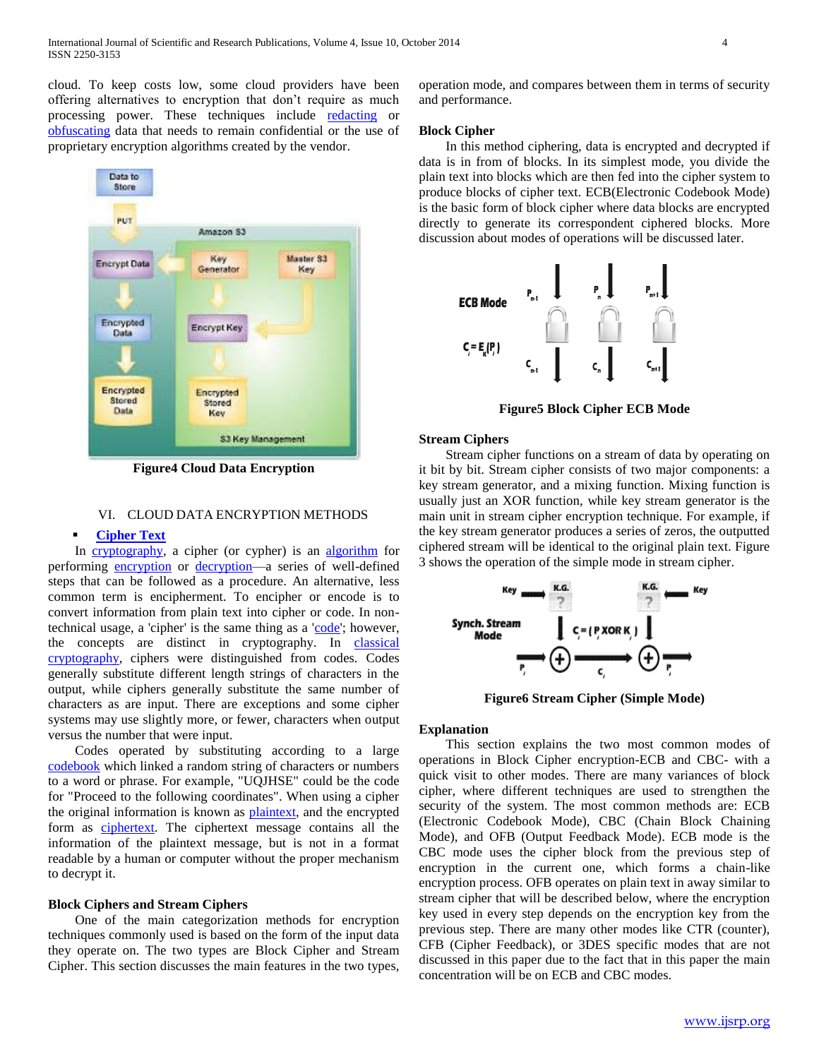cloud. To keep costs low, some cloud providers have been offering alternatives to encryption that don't require as much processing power. These techniques include [redacting](http://searchcio.techtarget.com/definition/redact) or [obfuscating](http://searchsoftwarequality.techtarget.com/definition/obfuscation) data that needs to remain confidential or the use of proprietary encryption algorithms created by the vendor.



**Figure4 Cloud Data Encryption**

# VI. CLOUD DATA ENCRYPTION METHODS

# **[Cipher Text](http://searchcio-midmarket.techtarget.com/definition/ciphertext)**

In [cryptography,](http://en.wikipedia.org/wiki/Cryptography) a cipher (or cypher) is an [algorithm](http://en.wikipedia.org/wiki/Algorithm) for performing [encryption](http://en.wikipedia.org/wiki/Encryption) or [decryption—](http://en.wikipedia.org/wiki/Decryption)a series of well-defined steps that can be followed as a procedure. An alternative, less common term is encipherment. To encipher or encode is to convert information from plain text into cipher or code. In nontechnical usage, a 'cipher' is the same thing as a ['code'](http://en.wikipedia.org/wiki/Code_%28cryptography%29); however, the concepts are distinct in cryptography. In classical [cryptography,](http://en.wikipedia.org/wiki/Classical_cryptography) ciphers were distinguished from codes. Codes generally substitute different length strings of characters in the output, while ciphers generally substitute the same number of characters as are input. There are exceptions and some cipher systems may use slightly more, or fewer, characters when output versus the number that were input.

 Codes operated by substituting according to a large [codebook](http://en.wikipedia.org/wiki/Codebook) which linked a random string of characters or numbers to a word or phrase. For example, "UQJHSE" could be the code for "Proceed to the following coordinates". When using a cipher the original information is known as **plaintext**, and the encrypted form as [ciphertext.](http://en.wikipedia.org/wiki/Ciphertext) The ciphertext message contains all the information of the plaintext message, but is not in a format readable by a human or computer without the proper mechanism to decrypt it.

#### **Block Ciphers and Stream Ciphers**

 One of the main categorization methods for encryption techniques commonly used is based on the form of the input data they operate on. The two types are Block Cipher and Stream Cipher. This section discusses the main features in the two types,

operation mode, and compares between them in terms of security and performance.

#### **Block Cipher**

 In this method ciphering, data is encrypted and decrypted if data is in from of blocks. In its simplest mode, you divide the plain text into blocks which are then fed into the cipher system to produce blocks of cipher text. ECB(Electronic Codebook Mode) is the basic form of block cipher where data blocks are encrypted directly to generate its correspondent ciphered blocks. More discussion about modes of operations will be discussed later.



**Figure5 Block Cipher ECB Mode**

#### **Stream Ciphers**

 Stream cipher functions on a stream of data by operating on it bit by bit. Stream cipher consists of two major components: a key stream generator, and a mixing function. Mixing function is usually just an XOR function, while key stream generator is the main unit in stream cipher encryption technique. For example, if the key stream generator produces a series of zeros, the outputted ciphered stream will be identical to the original plain text. Figure 3 shows the operation of the simple mode in stream cipher.



**Figure6 Stream Cipher (Simple Mode)**

# **Explanation**

 This section explains the two most common modes of operations in Block Cipher encryption-ECB and CBC- with a quick visit to other modes. There are many variances of block cipher, where different techniques are used to strengthen the security of the system. The most common methods are: ECB (Electronic Codebook Mode), CBC (Chain Block Chaining Mode), and OFB (Output Feedback Mode). ECB mode is the CBC mode uses the cipher block from the previous step of encryption in the current one, which forms a chain-like encryption process. OFB operates on plain text in away similar to stream cipher that will be described below, where the encryption key used in every step depends on the encryption key from the previous step. There are many other modes like CTR (counter), CFB (Cipher Feedback), or 3DES specific modes that are not discussed in this paper due to the fact that in this paper the main concentration will be on ECB and CBC modes.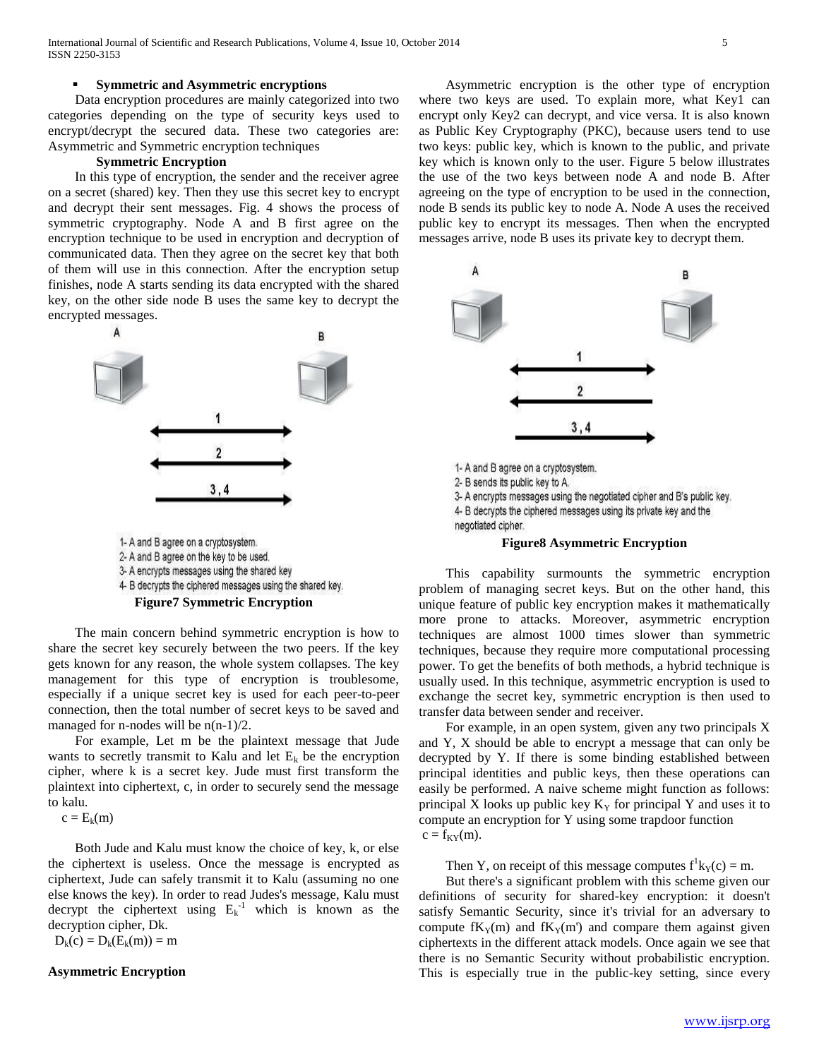#### **Symmetric and Asymmetric encryptions**

 Data encryption procedures are mainly categorized into two categories depending on the type of security keys used to encrypt/decrypt the secured data. These two categories are: Asymmetric and Symmetric encryption techniques

## **Symmetric Encryption**

 In this type of encryption, the sender and the receiver agree on a secret (shared) key. Then they use this secret key to encrypt and decrypt their sent messages. Fig. 4 shows the process of symmetric cryptography. Node A and B first agree on the encryption technique to be used in encryption and decryption of communicated data. Then they agree on the secret key that both of them will use in this connection. After the encryption setup finishes, node A starts sending its data encrypted with the shared key, on the other side node B uses the same key to decrypt the encrypted messages.



1- A and B agree on a cryptosystem. 2- A and B agree on the key to be used. 3- A encrypts messages using the shared key 4- B decrypts the ciphered messages using the shared key. **Figure7 Symmetric Encryption**

 The main concern behind symmetric encryption is how to share the secret key securely between the two peers. If the key gets known for any reason, the whole system collapses. The key management for this type of encryption is troublesome, especially if a unique secret key is used for each peer-to-peer connection, then the total number of secret keys to be saved and managed for n-nodes will be  $n(n-1)/2$ .

 For example, Let m be the plaintext message that Jude wants to secretly transmit to Kalu and let  $E_k$  be the encryption cipher, where k is a secret key. Jude must first transform the plaintext into ciphertext, c, in order to securely send the message to kalu.

 $c = E_k(m)$ 

 Both Jude and Kalu must know the choice of key, k, or else the ciphertext is useless. Once the message is encrypted as ciphertext, Jude can safely transmit it to Kalu (assuming no one else knows the key). In order to read Judes's message, Kalu must decrypt the ciphertext using  $E_k^{-1}$  which is known as the decryption cipher, Dk.

 $D_k(c) = D_k(E_k(m)) = m$ 

#### **Asymmetric Encryption**

 Asymmetric encryption is the other type of encryption where two keys are used. To explain more, what Key1 can encrypt only Key2 can decrypt, and vice versa. It is also known as Public Key Cryptography (PKC), because users tend to use two keys: public key, which is known to the public, and private key which is known only to the user. Figure 5 below illustrates the use of the two keys between node A and node B. After agreeing on the type of encryption to be used in the connection, node B sends its public key to node A. Node A uses the received public key to encrypt its messages. Then when the encrypted messages arrive, node B uses its private key to decrypt them.



#### **Figure8 Asymmetric Encryption**

 This capability surmounts the symmetric encryption problem of managing secret keys. But on the other hand, this unique feature of public key encryption makes it mathematically more prone to attacks. Moreover, asymmetric encryption techniques are almost 1000 times slower than symmetric techniques, because they require more computational processing power. To get the benefits of both methods, a hybrid technique is usually used. In this technique, asymmetric encryption is used to exchange the secret key, symmetric encryption is then used to transfer data between sender and receiver.

 For example, in an open system, given any two principals X and Y, X should be able to encrypt a message that can only be decrypted by Y. If there is some binding established between principal identities and public keys, then these operations can easily be performed. A naive scheme might function as follows: principal X looks up public key  $K<sub>y</sub>$  for principal Y and uses it to compute an encryption for Y using some trapdoor function  $c = f_{KY}(m)$ .

Then Y, on receipt of this message computes  $f<sup>1</sup>k<sub>Y</sub>(c) = m$ .

 But there's a significant problem with this scheme given our definitions of security for shared-key encryption: it doesn't satisfy Semantic Security, since it's trivial for an adversary to compute  $fK_Y(m)$  and  $fK_Y(m')$  and compare them against given ciphertexts in the different attack models. Once again we see that there is no Semantic Security without probabilistic encryption. This is especially true in the public-key setting, since every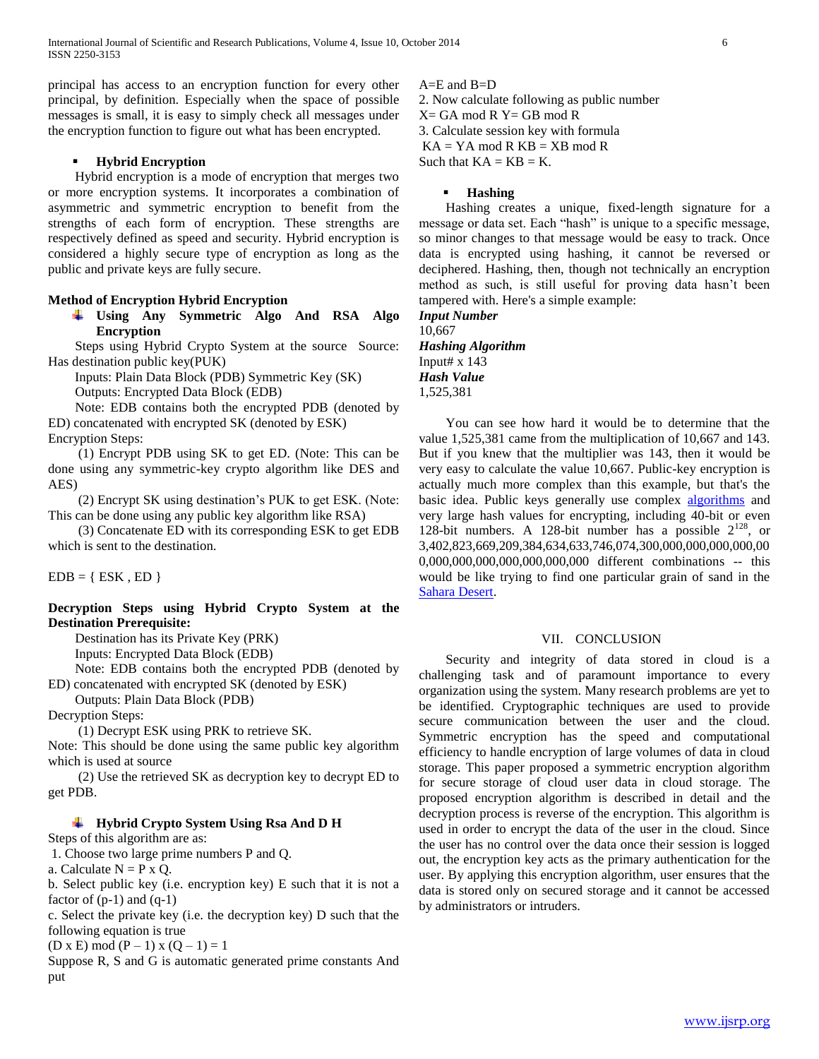principal has access to an encryption function for every other principal, by definition. Especially when the space of possible messages is small, it is easy to simply check all messages under the encryption function to figure out what has been encrypted.

## **Hybrid Encryption**

 Hybrid encryption is a mode of encryption that merges two or more encryption systems. It incorporates a combination of asymmetric and symmetric encryption to benefit from the strengths of each form of encryption. These strengths are respectively defined as speed and security. Hybrid encryption is considered a highly secure type of encryption as long as the public and private keys are fully secure.

# **Method of Encryption Hybrid Encryption**

**Using Any Symmetric Algo And RSA Algo Encryption** 

 Steps using Hybrid Crypto System at the source Source: Has destination public key(PUK)

 Inputs: Plain Data Block (PDB) Symmetric Key (SK) Outputs: Encrypted Data Block (EDB)

 Note: EDB contains both the encrypted PDB (denoted by ED) concatenated with encrypted SK (denoted by ESK)

Encryption Steps:

 (1) Encrypt PDB using SK to get ED. (Note: This can be done using any symmetric-key crypto algorithm like DES and AES)

 (2) Encrypt SK using destination's PUK to get ESK. (Note: This can be done using any public key algorithm like RSA)

 (3) Concatenate ED with its corresponding ESK to get EDB which is sent to the destination.

 $EDB = \{ ESK, ED \}$ 

**Decryption Steps using Hybrid Crypto System at the Destination Prerequisite:** 

Destination has its Private Key (PRK)

Inputs: Encrypted Data Block (EDB)

 Note: EDB contains both the encrypted PDB (denoted by ED) concatenated with encrypted SK (denoted by ESK)

Outputs: Plain Data Block (PDB)

Decryption Steps:

(1) Decrypt ESK using PRK to retrieve SK.

Note: This should be done using the same public key algorithm which is used at source

 (2) Use the retrieved SK as decryption key to decrypt ED to get PDB.

# **Hybrid Crypto System Using Rsa And D H**

Steps of this algorithm are as:

1. Choose two large prime numbers P and Q.

a. Calculate  $N = P x Q$ .

b. Select public key (i.e. encryption key) E such that it is not a factor of  $(p-1)$  and  $(q-1)$ 

c. Select the private key (i.e. the decryption key) D such that the following equation is true

 $(D \times E) \mod (P-1) \times (Q-1) = 1$ 

Suppose R, S and G is automatic generated prime constants And put

 $A=E$  and  $B=D$ 2. Now calculate following as public number  $X = GA \mod R$   $Y = GB \mod R$ 3. Calculate session key with formula

 $KA = YA \mod R \ KB = XB \mod R$ Such that  $KA = KB = K$ .

#### **Hashing**

 Hashing creates a unique, fixed-length signature for a message or data set. Each "hash" is unique to a specific message, so minor changes to that message would be easy to track. Once data is encrypted using hashing, it cannot be reversed or deciphered. Hashing, then, though not technically an encryption method as such, is still useful for proving data hasn't been tampered with. Here's a simple example:

*Input Number* 10,667 *Hashing Algorithm* Input#  $x$  143 *Hash Value* 1,525,381

 You can see how hard it would be to determine that the value 1,525,381 came from the multiplication of 10,667 and 143. But if you knew that the multiplier was 143, then it would be very easy to calculate the value 10,667. Public-key encryption is actually much more complex than this example, but that's the basic idea. Public keys generally use complex [algorithms](http://computer.howstuffworks.com/question717.htm) and very large hash values for encrypting, including 40-bit or even 128-bit numbers. A 128-bit number has a possible  $2^{128}$ , or 3,402,823,669,209,384,634,633,746,074,300,000,000,000,000,00 0,000,000,000,000,000,000,000 different combinations -- this would be like trying to find one particular grain of sand in the [Sahara Desert.](http://geography.howstuffworks.com/africa/the-sahara-desert.htm)

# VII. CONCLUSION

 Security and integrity of data stored in cloud is a challenging task and of paramount importance to every organization using the system. Many research problems are yet to be identified. Cryptographic techniques are used to provide secure communication between the user and the cloud. Symmetric encryption has the speed and computational efficiency to handle encryption of large volumes of data in cloud storage. This paper proposed a symmetric encryption algorithm for secure storage of cloud user data in cloud storage. The proposed encryption algorithm is described in detail and the decryption process is reverse of the encryption. This algorithm is used in order to encrypt the data of the user in the cloud. Since the user has no control over the data once their session is logged out, the encryption key acts as the primary authentication for the user. By applying this encryption algorithm, user ensures that the data is stored only on secured storage and it cannot be accessed by administrators or intruders.